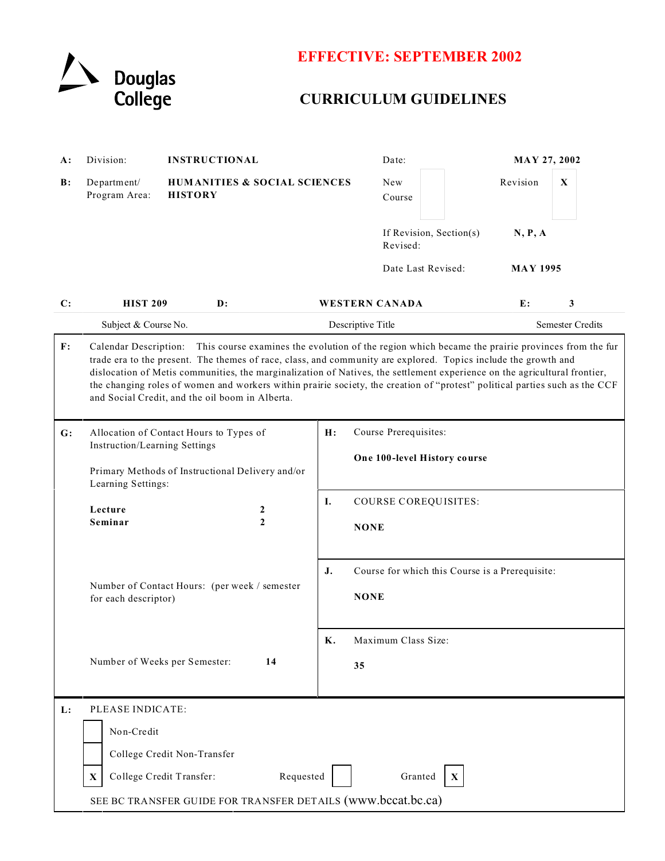

# **EFFECTIVE: SEPTEMBER 2002**

# **CURRICULUM GUIDELINES**

| A:         | Division:<br><b>INSTRUCTIONAL</b>                                                                                                                                                                                                                                                                                                                                                                                                                                                                                                                          |                                                           |                                    |                                                             | Date:                                                 | <b>MAY 27, 2002</b>                            |                         |                 |   |  |  |
|------------|------------------------------------------------------------------------------------------------------------------------------------------------------------------------------------------------------------------------------------------------------------------------------------------------------------------------------------------------------------------------------------------------------------------------------------------------------------------------------------------------------------------------------------------------------------|-----------------------------------------------------------|------------------------------------|-------------------------------------------------------------|-------------------------------------------------------|------------------------------------------------|-------------------------|-----------------|---|--|--|
| $\bf{B}$ : | Department/<br>Program Area:                                                                                                                                                                                                                                                                                                                                                                                                                                                                                                                               | <b>HUMANITIES &amp; SOCIAL SCIENCES</b><br><b>HISTORY</b> |                                    |                                                             | New<br>Course                                         |                                                |                         | Revision        | X |  |  |
|            |                                                                                                                                                                                                                                                                                                                                                                                                                                                                                                                                                            |                                                           |                                    |                                                             |                                                       | If Revision, Section(s)<br>N, P, A<br>Revised: |                         |                 |   |  |  |
|            |                                                                                                                                                                                                                                                                                                                                                                                                                                                                                                                                                            |                                                           |                                    |                                                             | Date Last Revised:                                    |                                                |                         | <b>MAY 1995</b> |   |  |  |
| C:         | <b>HIST 209</b>                                                                                                                                                                                                                                                                                                                                                                                                                                                                                                                                            | $\mathbf{D}$ :                                            |                                    |                                                             | <b>WESTERN CANADA</b>                                 |                                                |                         | E:              | 3 |  |  |
|            | Subject & Course No.                                                                                                                                                                                                                                                                                                                                                                                                                                                                                                                                       |                                                           |                                    | Descriptive Title                                           |                                                       |                                                | <b>Semester Credits</b> |                 |   |  |  |
| F:         | Calendar Description:<br>This course examines the evolution of the region which became the prairie provinces from the fur<br>trade era to the present. The themes of race, class, and community are explored. Topics include the growth and<br>dislocation of Metis communities, the marginalization of Natives, the settlement experience on the agricultural frontier,<br>the changing roles of women and workers within prairie society, the creation of "protest" political parties such as the CCF<br>and Social Credit, and the oil boom in Alberta. |                                                           |                                    |                                                             |                                                       |                                                |                         |                 |   |  |  |
| G:         | Allocation of Contact Hours to Types of<br>Instruction/Learning Settings<br>Primary Methods of Instructional Delivery and/or<br>Learning Settings:                                                                                                                                                                                                                                                                                                                                                                                                         |                                                           |                                    | H:<br>Course Prerequisites:<br>One 100-level History course |                                                       |                                                |                         |                 |   |  |  |
|            |                                                                                                                                                                                                                                                                                                                                                                                                                                                                                                                                                            |                                                           |                                    |                                                             |                                                       |                                                |                         |                 |   |  |  |
|            | Lecture                                                                                                                                                                                                                                                                                                                                                                                                                                                                                                                                                    |                                                           | $\boldsymbol{2}$<br>$\overline{2}$ | Ι.                                                          |                                                       | COURSE COREQUISITES:                           |                         |                 |   |  |  |
|            | Seminar                                                                                                                                                                                                                                                                                                                                                                                                                                                                                                                                                    |                                                           |                                    |                                                             | <b>NONE</b>                                           |                                                |                         |                 |   |  |  |
|            |                                                                                                                                                                                                                                                                                                                                                                                                                                                                                                                                                            |                                                           |                                    |                                                             | Course for which this Course is a Prerequisite:<br>J. |                                                |                         |                 |   |  |  |
|            | Number of Contact Hours: (per week / semester<br>for each descriptor)<br>Number of Weeks per Semester:<br>14                                                                                                                                                                                                                                                                                                                                                                                                                                               |                                                           |                                    | <b>NONE</b>                                                 |                                                       |                                                |                         |                 |   |  |  |
|            |                                                                                                                                                                                                                                                                                                                                                                                                                                                                                                                                                            |                                                           |                                    | Maximum Class Size:<br>Κ.                                   |                                                       |                                                |                         |                 |   |  |  |
|            |                                                                                                                                                                                                                                                                                                                                                                                                                                                                                                                                                            |                                                           |                                    | 35                                                          |                                                       |                                                |                         |                 |   |  |  |
| L:         | PLEASE INDICATE:                                                                                                                                                                                                                                                                                                                                                                                                                                                                                                                                           |                                                           |                                    |                                                             |                                                       |                                                |                         |                 |   |  |  |
|            | Non-Credit                                                                                                                                                                                                                                                                                                                                                                                                                                                                                                                                                 |                                                           |                                    |                                                             |                                                       |                                                |                         |                 |   |  |  |
|            | College Credit Non-Transfer<br>College Credit Transfer:<br>Requested<br>Granted<br>X                                                                                                                                                                                                                                                                                                                                                                                                                                                                       |                                                           |                                    |                                                             |                                                       |                                                |                         |                 |   |  |  |
|            |                                                                                                                                                                                                                                                                                                                                                                                                                                                                                                                                                            |                                                           |                                    |                                                             |                                                       |                                                |                         |                 |   |  |  |
|            | SEE BC TRANSFER GUIDE FOR TRANSFER DETAILS (www.bccat.bc.ca)                                                                                                                                                                                                                                                                                                                                                                                                                                                                                               |                                                           |                                    |                                                             |                                                       |                                                |                         |                 |   |  |  |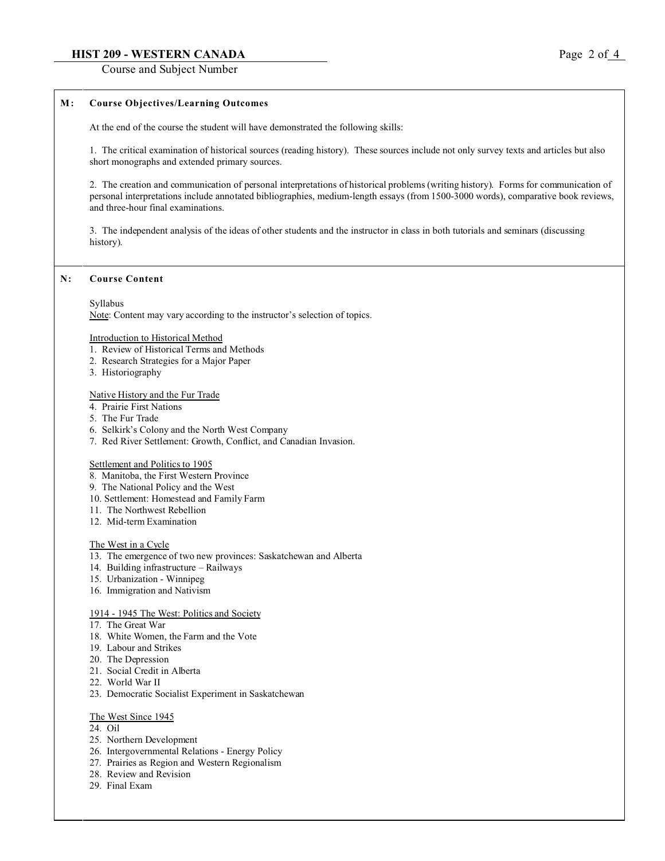# **HIST 209 - WESTERN CANADA** Page 2 of 4

Course and Subject Number

# **M : Course Objectives/Learning Outcomes**

At the end of the course the student will have demonstrated the following skills:

1. The critical examination of historical sources (reading history). These sources include not only survey texts and articles but also short monographs and extended primary sources.

2. The creation and communication of personal interpretations of historical problems (writing history). Forms for communication of personal interpretations include annotated bibliographies, medium-length essays (from 1500-3000 words), comparative book reviews, and three-hour final examinations.

3. The independent analysis of the ideas of other students and the instructor in class in both tutorials and seminars (discussing history).

### **N: Course Content**

#### Syllabus

Note: Content may vary according to the instructor's selection of topics.

#### Introduction to Historical Method

- 1. Review of Historical Terms and Methods
- 2. Research Strategies for a Major Paper
- 3. Historiography

#### Native History and the Fur Trade

- 4. Prairie First Nations
- 5. The Fur Trade
- 6. Selkirk's Colony and the North West Company
- 7. Red River Settlement: Growth, Conflict, and Canadian Invasion.

#### Settlement and Politics to 1905

- 8. Manitoba, the First Western Province
- 9. The National Policy and the West
- 10. Settlement: Homestead and Family Farm
- 11. The Northwest Rebellion
- 12. Mid-term Examination

#### The West in a Cycle

- 13. The emergence of two new provinces: Saskatchewan and Alberta
- 14. Building infrastructure Railways
- 15. Urbanization Winnipeg
- 16. Immigration and Nativism

#### 1914 - 1945 The West: Politics and Society

- 17. The Great War
- 18. White Women, the Farm and the Vote
- 19. Labour and Strikes
- 20. The Depression
- 21. Social Credit in Alberta
- 22. World War II
- 23. Democratic Socialist Experiment in Saskatchewan

## The West Since 1945

- 24. Oil
- 25. Northern Development
- 26. Intergovernmental Relations Energy Policy
- 27. Prairies as Region and Western Regionalism
- 28. Review and Revision
- 29. Final Exam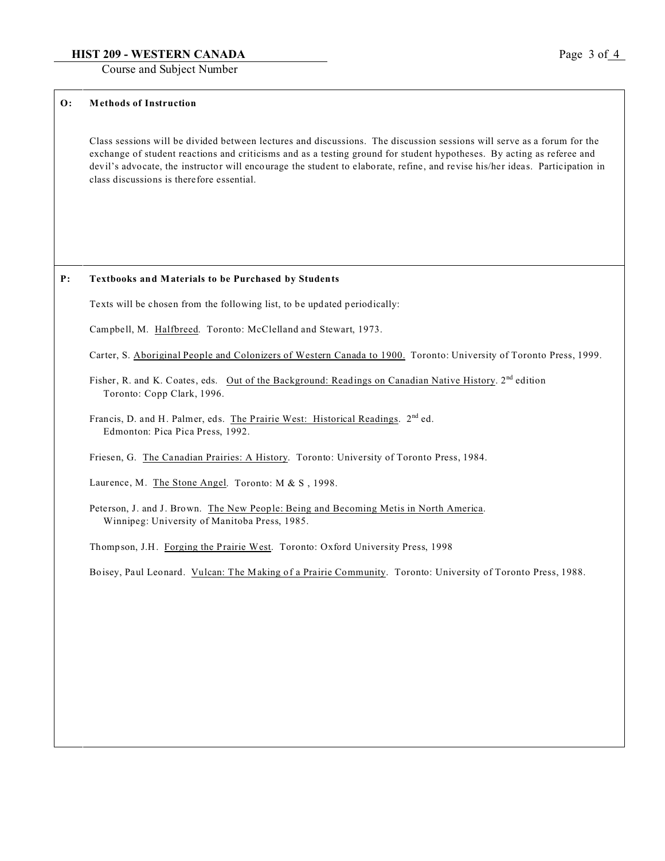# **HIST 209 - WESTERN CANADA** Page 3 of 4

Course and Subject Number

# **O: Methods of Instruction**

Class sessions will be divided between lectures and discussions. The discussion sessions will serve as a forum for the exchange of student reactions and criticisms and as a testing ground for student hypotheses. By acting as referee and devil's advocate, the instructor will encourage the student to elaborate, refine, and revise his/her ideas. Participation in class discussions is therefore essential.

## **P: Textbooks and Materials to be Purchased by Students**

Texts will be chosen from the following list, to be updated periodically:

Campbell, M. Halfbreed. Toronto: McClelland and Stewart, 1973.

Carter, S. Aboriginal People and Colonizers of Western Canada to 1900. Toronto: University of Toronto Press, 1999.

Fisher, R. and K. Coates, eds. Out of the Background: Readings on Canadian Native History. 2<sup>nd</sup> edition Toronto: Copp Clark, 1996.

Francis, D. and H. Palmer, eds. The Prairie West: Historical Readings. 2<sup>nd</sup> ed. Edmonton: Pica Pica Press, 1992.

Friesen, G. The Canadian Prairies: A History. Toronto: University of Toronto Press, 1984.

Laurence, M. The Stone Angel. Toronto: M & S , 1998.

Peterson, J. and J. Brown. The New People: Being and Becoming Metis in North America. Winnipeg: University of Manitoba Press, 1985.

Thompson, J.H. Forging the Prairie West. Toronto: Oxford University Press, 1998

Boisey, Paul Leonard. Vulcan: The Making of a Prairie Community. Toronto: University of Toronto Press, 1988.